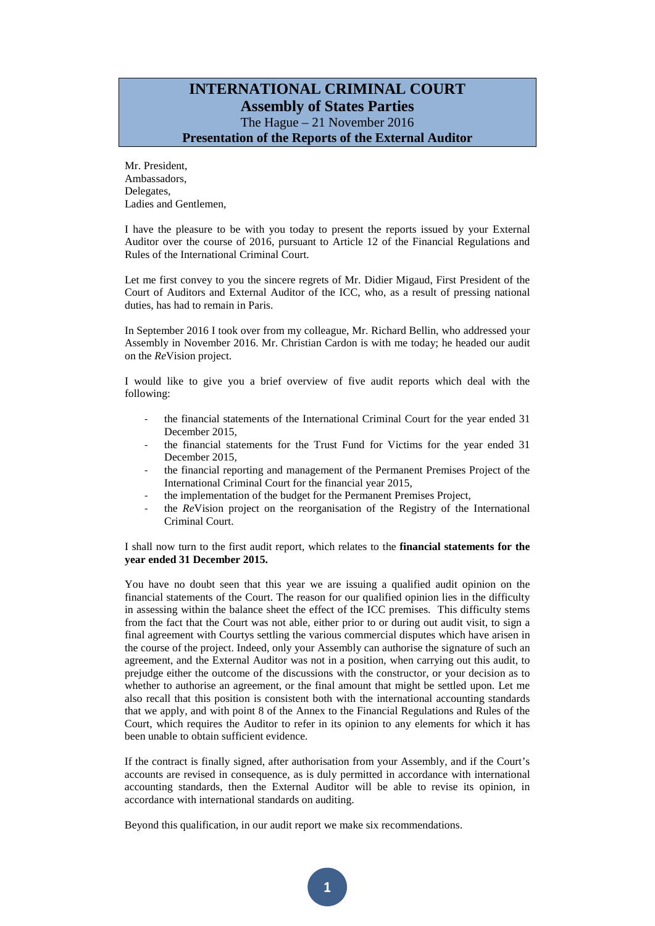## **INTERNATIONAL CRIMINAL COURT Assembly of States Parties** The Hague – 21 November 2016 **Presentation of the Reports of the External Auditor**

Mr. President, Ambassadors, Delegates, Ladies and Gentlemen,

I have the pleasure to be with you today to present the reports issued by your External Auditor over the course of 2016, pursuant to Article 12 of the Financial Regulations and Rules of the International Criminal Court.

Let me first convey to you the sincere regrets of Mr. Didier Migaud, First President of the Court of Auditors and External Auditor of the ICC, who, as a result of pressing national duties, has had to remain in Paris.

In September 2016 I took over from my colleague, Mr. Richard Bellin, who addressed your Assembly in November 2016. Mr. Christian Cardon is with me today; he headed our audit on the *Re*Vision project.

I would like to give you a brief overview of five audit reports which deal with the following:

- the financial statements of the International Criminal Court for the year ended 31 December 2015,
- the financial statements for the Trust Fund for Victims for the year ended 31 December 2015,
- the financial reporting and management of the Permanent Premises Project of the International Criminal Court for the financial year 2015,
- the implementation of the budget for the Permanent Premises Project,
- the *Re*Vision project on the reorganisation of the Registry of the International Criminal Court.

## I shall now turn to the first audit report, which relates to the **financial statements for the year ended 31 December 2015.**

You have no doubt seen that this year we are issuing a qualified audit opinion on the financial statements of the Court. The reason for our qualified opinion lies in the difficulty in assessing within the balance sheet the effect of the ICC premises. This difficulty stems from the fact that the Court was not able, either prior to or during out audit visit, to sign a final agreement with Courtys settling the various commercial disputes which have arisen in the course of the project. Indeed, only your Assembly can authorise the signature of such an agreement, and the External Auditor was not in a position, when carrying out this audit, to prejudge either the outcome of the discussions with the constructor, or your decision as to whether to authorise an agreement, or the final amount that might be settled upon. Let me also recall that this position is consistent both with the international accounting standards that we apply, and with point 8 of the Annex to the Financial Regulations and Rules of the Court, which requires the Auditor to refer in its opinion to any elements for which it has been unable to obtain sufficient evidence.

If the contract is finally signed, after authorisation from your Assembly, and if the Court's accounts are revised in consequence, as is duly permitted in accordance with international accounting standards, then the External Auditor will be able to revise its opinion, in accordance with international standards on auditing.

Beyond this qualification, in our audit report we make six recommendations.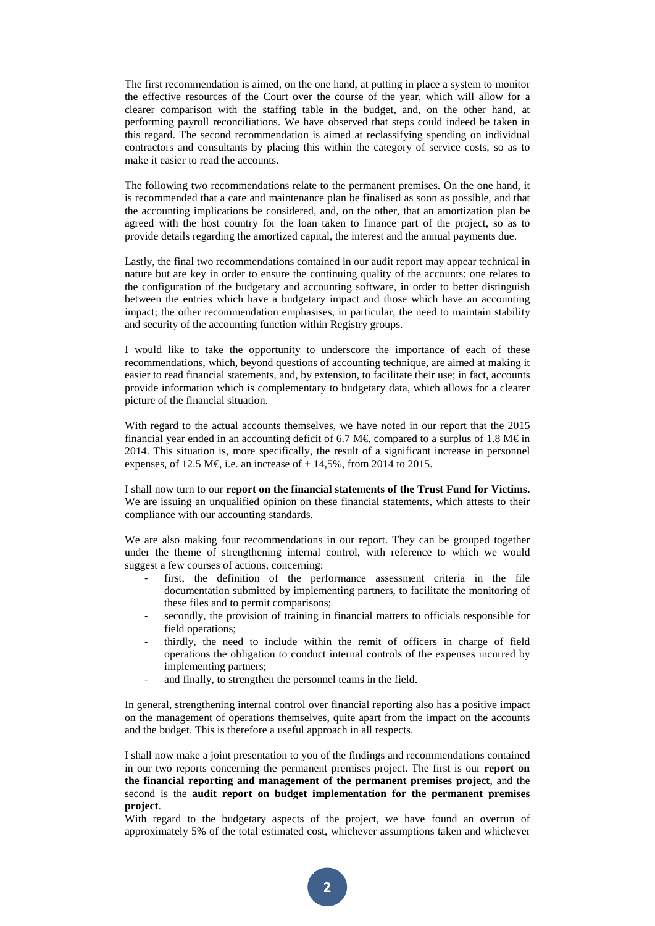The first recommendation is aimed, on the one hand, at putting in place a system to monitor the effective resources of the Court over the course of the year, which will allow for a clearer comparison with the staffing table in the budget, and, on the other hand, at performing payroll reconciliations. We have observed that steps could indeed be taken in this regard. The second recommendation is aimed at reclassifying spending on individual contractors and consultants by placing this within the category of service costs, so as to make it easier to read the accounts.

The following two recommendations relate to the permanent premises. On the one hand, it is recommended that a care and maintenance plan be finalised as soon as possible, and that the accounting implications be considered, and, on the other, that an amortization plan be agreed with the host country for the loan taken to finance part of the project, so as to provide details regarding the amortized capital, the interest and the annual payments due.

Lastly, the final two recommendations contained in our audit report may appear technical in nature but are key in order to ensure the continuing quality of the accounts: one relates to the configuration of the budgetary and accounting software, in order to better distinguish between the entries which have a budgetary impact and those which have an accounting impact; the other recommendation emphasises, in particular, the need to maintain stability and security of the accounting function within Registry groups.

I would like to take the opportunity to underscore the importance of each of these recommendations, which, beyond questions of accounting technique, are aimed at making it easier to read financial statements, and, by extension, to facilitate their use; in fact, accounts provide information which is complementary to budgetary data, which allows for a clearer picture of the financial situation.

With regard to the actual accounts themselves, we have noted in our report that the 2015 financial year ended in an accounting deficit of 6.7 M $\epsilon$  compared to a surplus of 1.8 M $\epsilon$  in 2014. This situation is, more specifically, the result of a significant increase in personnel expenses, of 12.5 M $\in$  i.e. an increase of + 14,5%, from 2014 to 2015.

I shall now turn to our **report on the financial statements of the Trust Fund for Victims.** We are issuing an unqualified opinion on these financial statements, which attests to their compliance with our accounting standards.

We are also making four recommendations in our report. They can be grouped together under the theme of strengthening internal control, with reference to which we would suggest a few courses of actions, concerning:

- first, the definition of the performance assessment criteria in the file documentation submitted by implementing partners, to facilitate the monitoring of these files and to permit comparisons;
- secondly, the provision of training in financial matters to officials responsible for field operations;
- thirdly, the need to include within the remit of officers in charge of field operations the obligation to conduct internal controls of the expenses incurred by implementing partners;
- and finally, to strengthen the personnel teams in the field.

In general, strengthening internal control over financial reporting also has a positive impact on the management of operations themselves, quite apart from the impact on the accounts and the budget. This is therefore a useful approach in all respects.

I shall now make a joint presentation to you of the findings and recommendations contained in our two reports concerning the permanent premises project. The first is our **report on the financial reporting and management of the permanent premises project**, and the second is the **audit report on budget implementation for the permanent premises project**.

With regard to the budgetary aspects of the project, we have found an overrun of approximately 5% of the total estimated cost, whichever assumptions taken and whichever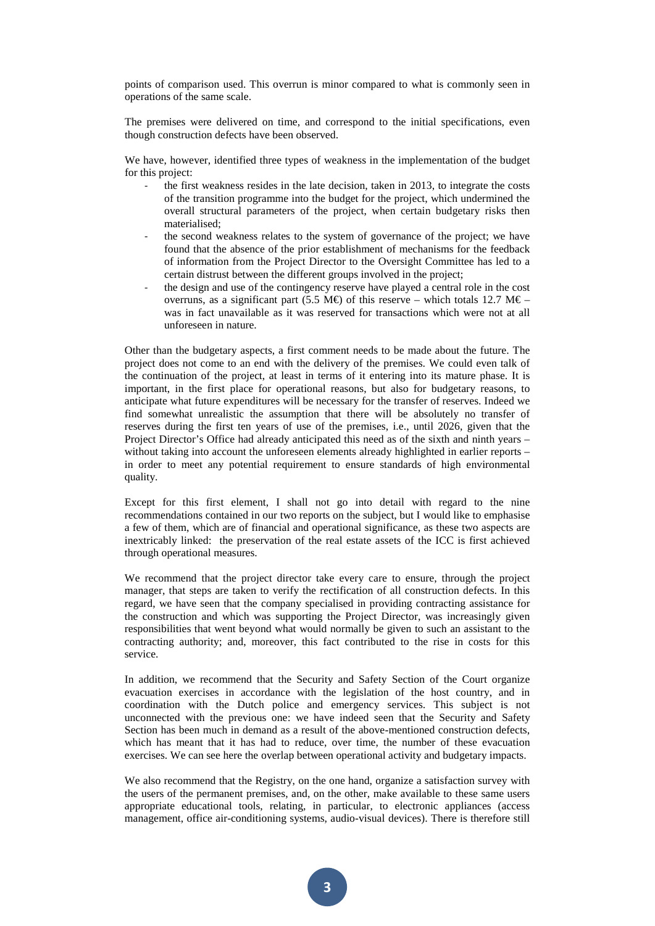points of comparison used. This overrun is minor compared to what is commonly seen in operations of the same scale.

The premises were delivered on time, and correspond to the initial specifications, even though construction defects have been observed.

We have, however, identified three types of weakness in the implementation of the budget for this project:

- the first weakness resides in the late decision, taken in 2013, to integrate the costs of the transition programme into the budget for the project, which undermined the overall structural parameters of the project, when certain budgetary risks then materialised;
- the second weakness relates to the system of governance of the project; we have found that the absence of the prior establishment of mechanisms for the feedback of information from the Project Director to the Oversight Committee has led to a certain distrust between the different groups involved in the project;
- the design and use of the contingency reserve have played a central role in the cost overruns, as a significant part (5.5 M $\oplus$  of this reserve – which totals 12.7 M $\oplus$  – was in fact unavailable as it was reserved for transactions which were not at all unforeseen in nature.

Other than the budgetary aspects, a first comment needs to be made about the future. The project does not come to an end with the delivery of the premises. We could even talk of the continuation of the project, at least in terms of it entering into its mature phase. It is important, in the first place for operational reasons, but also for budgetary reasons, to anticipate what future expenditures will be necessary for the transfer of reserves. Indeed we find somewhat unrealistic the assumption that there will be absolutely no transfer of reserves during the first ten years of use of the premises, i.e., until 2026, given that the Project Director's Office had already anticipated this need as of the sixth and ninth years – without taking into account the unforeseen elements already highlighted in earlier reports – in order to meet any potential requirement to ensure standards of high environmental quality.

Except for this first element, I shall not go into detail with regard to the nine recommendations contained in our two reports on the subject, but I would like to emphasise a few of them, which are of financial and operational significance, as these two aspects are inextricably linked: the preservation of the real estate assets of the ICC is first achieved through operational measures.

We recommend that the project director take every care to ensure, through the project manager, that steps are taken to verify the rectification of all construction defects. In this regard, we have seen that the company specialised in providing contracting assistance for the construction and which was supporting the Project Director, was increasingly given responsibilities that went beyond what would normally be given to such an assistant to the contracting authority; and, moreover, this fact contributed to the rise in costs for this service.

In addition, we recommend that the Security and Safety Section of the Court organize evacuation exercises in accordance with the legislation of the host country, and in coordination with the Dutch police and emergency services. This subject is not unconnected with the previous one: we have indeed seen that the Security and Safety Section has been much in demand as a result of the above-mentioned construction defects, which has meant that it has had to reduce, over time, the number of these evacuation exercises. We can see here the overlap between operational activity and budgetary impacts.

We also recommend that the Registry, on the one hand, organize a satisfaction survey with the users of the permanent premises, and, on the other, make available to these same users appropriate educational tools, relating, in particular, to electronic appliances (access management, office air-conditioning systems, audio-visual devices). There is therefore still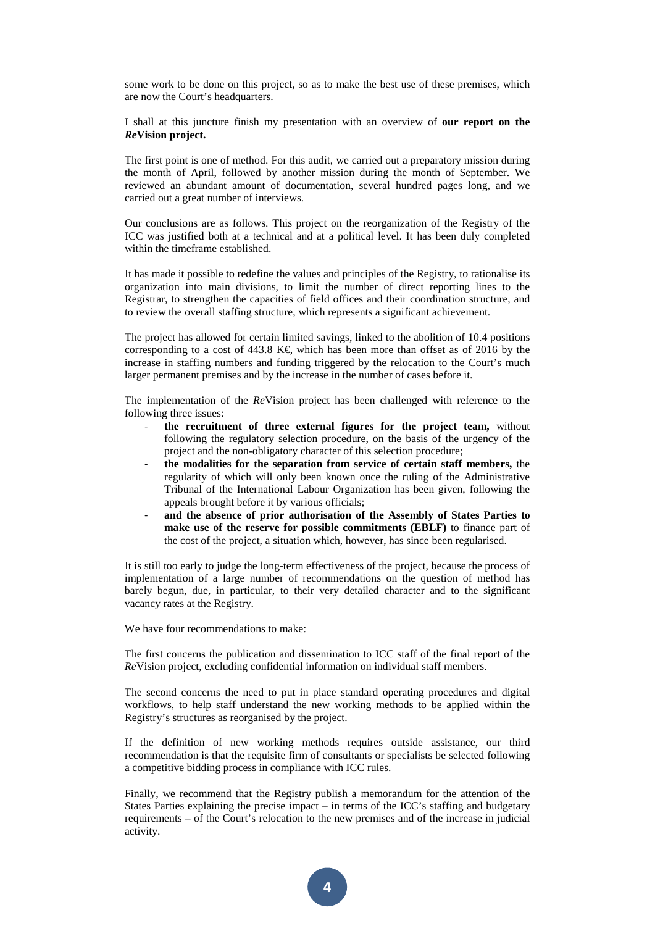some work to be done on this project, so as to make the best use of these premises, which are now the Court's headquarters.

I shall at this juncture finish my presentation with an overview of **our report on the** *Re***Vision project.**

The first point is one of method. For this audit, we carried out a preparatory mission during the month of April, followed by another mission during the month of September. We reviewed an abundant amount of documentation, several hundred pages long, and we carried out a great number of interviews.

Our conclusions are as follows. This project on the reorganization of the Registry of the ICC was justified both at a technical and at a political level. It has been duly completed within the timeframe established.

It has made it possible to redefine the values and principles of the Registry, to rationalise its organization into main divisions, to limit the number of direct reporting lines to the Registrar, to strengthen the capacities of field offices and their coordination structure, and to review the overall staffing structure, which represents a significant achievement.

The project has allowed for certain limited savings, linked to the abolition of 10.4 positions corresponding to a cost of 443.8 K $\epsilon$ , which has been more than offset as of 2016 by the increase in staffing numbers and funding triggered by the relocation to the Court's much larger permanent premises and by the increase in the number of cases before it.

The implementation of the *Re*Vision project has been challenged with reference to the following three issues:

- the recruitment of three external figures for the project team, without following the regulatory selection procedure, on the basis of the urgency of the project and the non-obligatory character of this selection procedure;
- **the modalities for the separation from service of certain staff members,** the regularity of which will only been known once the ruling of the Administrative Tribunal of the International Labour Organization has been given, following the appeals brought before it by various officials;
- **and the absence of prior authorisation of the Assembly of States Parties to make use of the reserve for possible commitments (EBLF)** to finance part of the cost of the project, a situation which, however, has since been regularised.

It is still too early to judge the long-term effectiveness of the project, because the process of implementation of a large number of recommendations on the question of method has barely begun, due, in particular, to their very detailed character and to the significant vacancy rates at the Registry.

We have four recommendations to make:

The first concerns the publication and dissemination to ICC staff of the final report of the *Re*Vision project, excluding confidential information on individual staff members.

The second concerns the need to put in place standard operating procedures and digital workflows, to help staff understand the new working methods to be applied within the Registry's structures as reorganised by the project.

If the definition of new working methods requires outside assistance, our third recommendation is that the requisite firm of consultants or specialists be selected following a competitive bidding process in compliance with ICC rules.

Finally, we recommend that the Registry publish a memorandum for the attention of the States Parties explaining the precise impact – in terms of the ICC's staffing and budgetary requirements – of the Court's relocation to the new premises and of the increase in judicial activity.